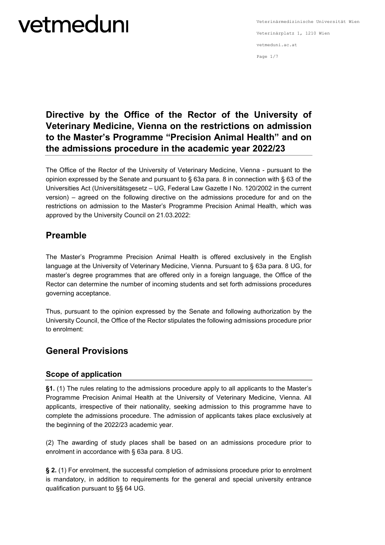Veterinärmedizinische Universität Wien Veterinärplatz 1, 1210 Wien vetmeduni.ac.at Page 1/7

### **Directive by the Office of the Rector of the University of Veterinary Medicine, Vienna on the restrictions on admission to the Master's Programme "Precision Animal Health" and on the admissions procedure in the academic year 2022/23**

The Office of the Rector of the University of Veterinary Medicine, Vienna - pursuant to the opinion expressed by the Senate and pursuant to § 63a para. 8 in connection with § 63 of the Universities Act (Universitätsgesetz – UG, Federal Law Gazette I No. 120/2002 in the current version) – agreed on the following directive on the admissions procedure for and on the restrictions on admission to the Master's Programme Precision Animal Health, which was approved by the University Council on 21.03.2022:

### **Preamble**

The Master's Programme Precision Animal Health is offered exclusively in the English language at the University of Veterinary Medicine, Vienna. Pursuant to § 63a para. 8 UG, for master's degree programmes that are offered only in a foreign language, the Office of the Rector can determine the number of incoming students and set forth admissions procedures governing acceptance.

Thus, pursuant to the opinion expressed by the Senate and following authorization by the University Council, the Office of the Rector stipulates the following admissions procedure prior to enrolment:

### **General Provisions**

### **Scope of application**

**§1.** (1) The rules relating to the admissions procedure apply to all applicants to the Master's Programme Precision Animal Health at the University of Veterinary Medicine, Vienna. All applicants, irrespective of their nationality, seeking admission to this programme have to complete the admissions procedure. The admission of applicants takes place exclusively at the beginning of the 2022/23 academic year.

(2) The awarding of study places shall be based on an admissions procedure prior to enrolment in accordance with § 63a para. 8 UG.

**§ 2.** (1) For enrolment, the successful completion of admissions procedure prior to enrolment is mandatory, in addition to requirements for the general and special university entrance qualification pursuant to §§ 64 UG.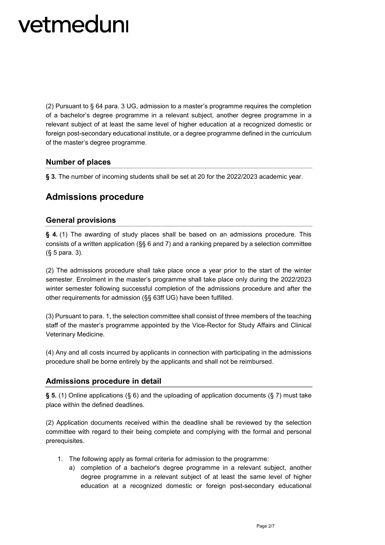(2) Pursuant to § 64 para. 3 UG, admission to a master's programme requires the completion of a bachelor's degree programme in a relevant subject, another degree programme in a relevant subject of at least the same level of higher education at a recognized domestic or foreign post-secondary educational institute, or a degree programme defined in the curriculum of the master's degree programme.

#### **Number of places**

**§ 3.** The number of incoming students shall be set at 20 for the 2022/2023 academic year.

### **Admissions procedure**

#### **General provisions**

**§ 4.** (1) The awarding of study places shall be based on an admissions procedure. This consists of a written application (§§ 6 and 7) and a ranking prepared by a selection committee (§ 5 para. 3).

(2) The admissions procedure shall take place once a year prior to the start of the winter semester. Enrolment in the master's programme shall take place only during the 2022/2023 winter semester following successful completion of the admissions procedure and after the other requirements for admission (§§ 63ff UG) have been fulfilled.

(3) Pursuant to para. 1, the selection committee shall consist of three members of the teaching staff of the master's programme appointed by the Vice-Rector for Study Affairs and Clinical Veterinary Medicine.

(4) Any and all costs incurred by applicants in connection with participating in the admissions procedure shall be borne entirely by the applicants and shall not be reimbursed.

#### **Admissions procedure in detail**

**§ 5.** (1) Online applications (§ 6) and the uploading of application documents (§ 7) must take place within the defined deadlines.

(2) Application documents received within the deadline shall be reviewed by the selection committee with regard to their being complete and complying with the formal and personal prerequisites.

- 1. The following apply as formal criteria for admission to the programme:
	- a) completion of a bachelor's degree programme in a relevant subject, another degree programme in a relevant subject of at least the same level of higher education at a recognized domestic or foreign post-secondary educational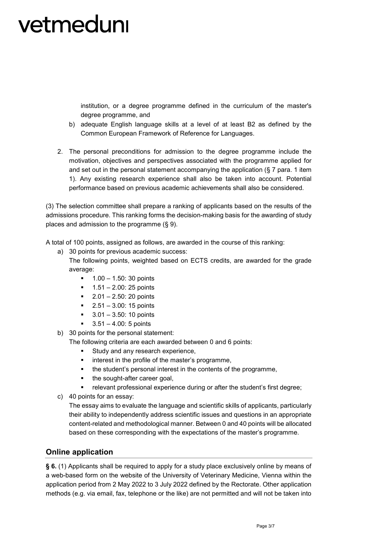institution, or a degree programme defined in the curriculum of the master's degree programme, and

- b) adequate English language skills at a level of at least B2 as defined by the Common European Framework of Reference for Languages.
- 2. The personal preconditions for admission to the degree programme include the motivation, objectives and perspectives associated with the programme applied for and set out in the personal statement accompanying the application  $(\xi, 7)$  para. 1 item 1). Any existing research experience shall also be taken into account. Potential performance based on previous academic achievements shall also be considered.

(3) The selection committee shall prepare a ranking of applicants based on the results of the admissions procedure. This ranking forms the decision-making basis for the awarding of study places and admission to the programme (§ 9).

A total of 100 points, assigned as follows, are awarded in the course of this ranking:

a) 30 points for previous academic success:

The following points, weighted based on ECTS credits, are awarded for the grade average:

- $-1.00 1.50$ : 30 points
- $1.51 2.00$ : 25 points
- $-2.01 2.50$ : 20 points
- $-2.51 3.00$ : 15 points
- 3.01 3.50: 10 points
- 3.51 4.00: 5 points
- b) 30 points for the personal statement:

The following criteria are each awarded between 0 and 6 points:

- **Study and any research experience,**
- interest in the profile of the master's programme,
- the student's personal interest in the contents of the programme,
- the sought-after career goal,
- relevant professional experience during or after the student's first degree;
- c) 40 points for an essay:

The essay aims to evaluate the language and scientific skills of applicants, particularly their ability to independently address scientific issues and questions in an appropriate content-related and methodological manner. Between 0 and 40 points will be allocated based on these corresponding with the expectations of the master's programme.

#### **Online application**

**§ 6.** (1) Applicants shall be required to apply for a study place exclusively online by means of a web-based form on the website of the University of Veterinary Medicine, Vienna within the application period from 2 May 2022 to 3 July 2022 defined by the Rectorate. Other application methods (e.g. via email, fax, telephone or the like) are not permitted and will not be taken into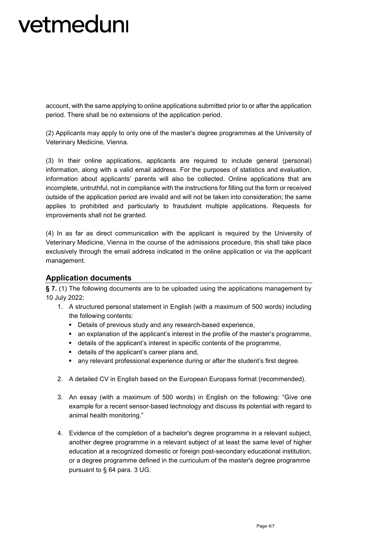account, with the same applying to online applications submitted prior to or after the application period. There shall be no extensions of the application period.

(2) Applicants may apply to only one of the master's degree programmes at the University of Veterinary Medicine, Vienna.

(3) In their online applications, applicants are required to include general (personal) information, along with a valid email address. For the purposes of statistics and evaluation, information about applicants' parents will also be collected. Online applications that are incomplete, untruthful, not in compliance with the instructions for filling out the form or received outside of the application period are invalid and will not be taken into consideration; the same applies to prohibited and particularly to fraudulent multiple applications. Requests for improvements shall not be granted.

(4) In as far as direct communication with the applicant is required by the University of Veterinary Medicine, Vienna in the course of the admissions procedure, this shall take place exclusively through the email address indicated in the online application or via the applicant management.

#### **Application documents**

**§ 7.** (1) The following documents are to be uploaded using the applications management by 10 July 2022:

- 1. A structured personal statement in English (with a maximum of 500 words) including the following contents:
	- Details of previous study and any research-based experience,
	- an explanation of the applicant's interest in the profile of the master's programme,
	- details of the applicant's interest in specific contents of the programme,
	- details of the applicant's career plans and,
	- any relevant professional experience during or after the student's first degree.
- 2. A detailed CV in English based on the European Europass format (recommended).
- 3. An essay (with a maximum of 500 words) in English on the following: "Give one example for a recent sensor-based technology and discuss its potential with regard to animal health monitoring."
- 4. Evidence of the completion of a bachelor's degree programme in a relevant subject, another degree programme in a relevant subject of at least the same level of higher education at a recognized domestic or foreign post-secondary educational institution, or a degree programme defined in the curriculum of the master's degree programme pursuant to § 64 para. 3 UG.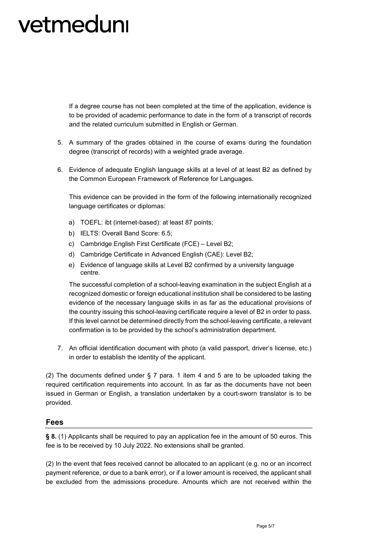If a degree course has not been completed at the time of the application, evidence is to be provided of academic performance to date in the form of a transcript of records and the related curriculum submitted in English or German.

- 5. A summary of the grades obtained in the course of exams during the foundation degree (transcript of records) with a weighted grade average.
- 6. Evidence of adequate English language skills at a level of at least B2 as defined by the Common European Framework of Reference for Languages.

This evidence can be provided in the form of the following internationally recognized language certificates or diplomas:

- a) TOEFL: ibt (internet-based): at least 87 points;
- b) IELTS: Overall Band Score: 6.5;
- c) Cambridge English First Certificate (FCE) Level B2;
- d) Cambridge Certificate in Advanced English (CAE): Level B2;
- e) Evidence of language skills at Level B2 confirmed by a university language centre.

The successful completion of a school-leaving examination in the subject English at a recognized domestic or foreign educational institution shall be considered to be lasting evidence of the necessary language skills in as far as the educational provisions of the country issuing this school-leaving certificate require a level of B2 in order to pass. If this level cannot be determined directly from the school-leaving certificate, a relevant confirmation is to be provided by the school's administration department.

7. An official identification document with photo (a valid passport, driver's license, etc.) in order to establish the identity of the applicant.

(2) The documents defined under § 7 para. 1 item 4 and 5 are to be uploaded taking the required certification requirements into account. In as far as the documents have not been issued in German or English, a translation undertaken by a court-sworn translator is to be provided.

#### **Fees**

**§ 8.** (1) Applicants shall be required to pay an application fee in the amount of 50 euros. This fee is to be received by 10 July 2022. No extensions shall be granted.

(2) In the event that fees received cannot be allocated to an applicant (e.g. no or an incorrect payment reference, or due to a bank error), or if a lower amount is received, the applicant shall be excluded from the admissions procedure. Amounts which are not received within the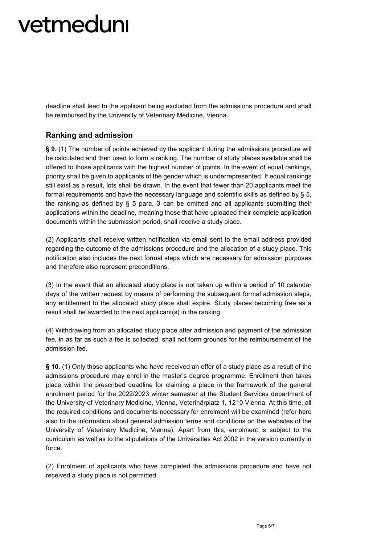deadline shall lead to the applicant being excluded from the admissions procedure and shall be reimbursed by the University of Veterinary Medicine, Vienna.

#### **Ranking and admission**

**§ 9.** (1) The number of points achieved by the applicant during the admissions procedure will be calculated and then used to form a ranking. The number of study places available shall be offered to those applicants with the highest number of points. In the event of equal rankings, priority shall be given to applicants of the gender which is underrepresented. If equal rankings still exist as a result, lots shall be drawn. In the event that fewer than 20 applicants meet the formal requirements and have the necessary language and scientific skills as defined by § 5, the ranking as defined by  $\S$  5 para. 3 can be omitted and all applicants submitting their applications within the deadline, meaning those that have uploaded their complete application documents within the submission period, shall receive a study place.

(2) Applicants shall receive written notification via email sent to the email address provided regarding the outcome of the admissions procedure and the allocation of a study place. This notification also includes the next formal steps which are necessary for admission purposes and therefore also represent preconditions.

(3) In the event that an allocated study place is not taken up within a period of 10 calendar days of the written request by means of performing the subsequent formal admission steps, any entitlement to the allocated study place shall expire. Study places becoming free as a result shall be awarded to the next applicant(s) in the ranking.

(4) Withdrawing from an allocated study place after admission and payment of the admission fee, in as far as such a fee is collected, shall not form grounds for the reimbursement of the admission fee.

**§ 10.** (1) Only those applicants who have received an offer of a study place as a result of the admissions procedure may enrol in the master's degree programme. Enrolment then takes place within the prescribed deadline for claiming a place in the framework of the general enrolment period for the 2022/2023 winter semester at the Student Services department of the University of Veterinary Medicine, Vienna, Veterinärplatz 1, 1210 Vienna. At this time, all the required conditions and documents necessary for enrolment will be examined (refer here also to the information about general admission terms and conditions on the websites of the University of Veterinary Medicine, Vienna). Apart from this, enrolment is subject to the curriculum as well as to the stipulations of the Universities Act 2002 in the version currently in force.

(2) Enrolment of applicants who have completed the admissions procedure and have not received a study place is not permitted.